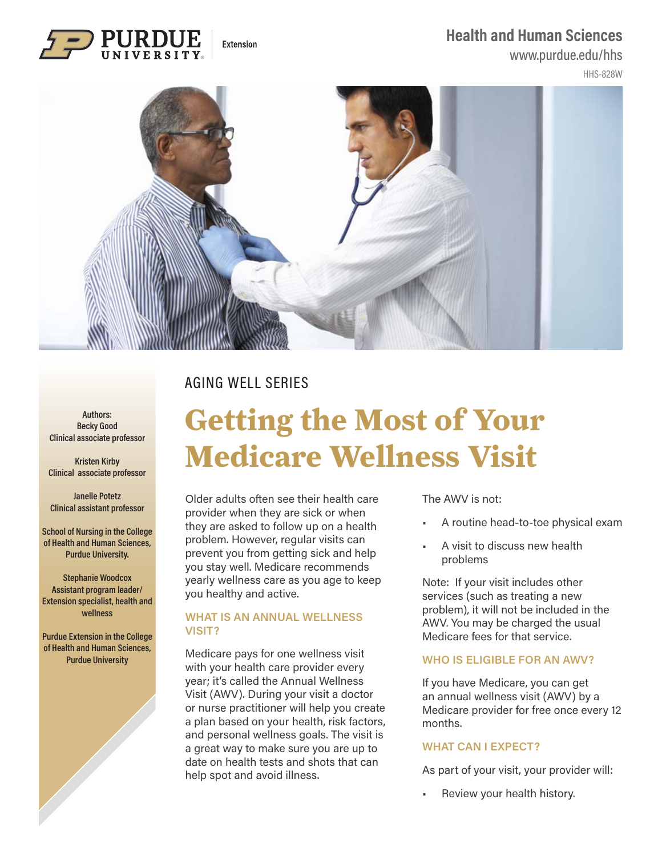## **Health and Human Sciences**

## www.purdue.edu/hhs

HHS-828W



## AGING WELL SERIES

Extension

**Authors: Becky Good Clinical associate professor**

**Kristen Kirby Clinical associate professor**

**Janelle Potetz Clinical assistant professor**

**School of Nursing in the College of Health and Human Sciences, Purdue University.** 

**Stephanie Woodcox Assistant program leader/ Extension specialist, health and wellness**

**Purdue Extension in the College of Health and Human Sciences, Purdue University**

# **Getting the Most of Your Medicare Wellness Visit**

Older adults often see their health care provider when they are sick or when they are asked to follow up on a health problem. However, regular visits can prevent you from getting sick and help you stay well. Medicare recommends yearly wellness care as you age to keep you healthy and active.

#### **WHAT IS AN ANNUAL WELLNESS VISIT?**

Medicare pays for one wellness visit with your health care provider every year; it's called the Annual Wellness Visit (AWV). During your visit a doctor or nurse practitioner will help you create a plan based on your health, risk factors, and personal wellness goals. The visit is a great way to make sure you are up to date on health tests and shots that can help spot and avoid illness.

The AWV is not:

- A routine head-to-toe physical exam
- A visit to discuss new health problems

Note: If your visit includes other services (such as treating a new problem), it will not be included in the AWV. You may be charged the usual Medicare fees for that service.

### **WHO IS ELIGIBLE FOR AN AWV?**

If you have Medicare, you can get an annual wellness visit (AWV) by a Medicare provider for free once every 12 months.

### **WHAT CAN I EXPECT?**

As part of your visit, your provider will:

Review your health history.